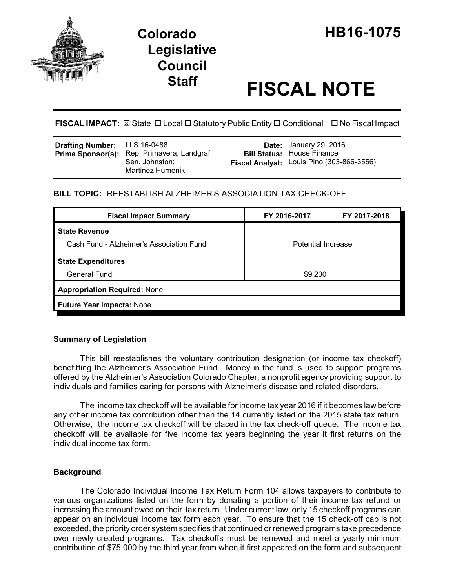

# **Staff FISCAL NOTE**

**FISCAL IMPACT:** ⊠ State □ Local □ Statutory Public Entity □ Conditional □ No Fiscal Impact

| <b>Drafting Number:</b> LLS 16-0488<br>Prime Sponsor(s): Rep. Primavera; Landgraf<br>Sen. Johnston:<br><b>Martinez Humenik</b> |  | <b>Date:</b> January 29, 2016<br><b>Bill Status: House Finance</b><br>Fiscal Analyst: Louis Pino (303-866-3556) |
|--------------------------------------------------------------------------------------------------------------------------------|--|-----------------------------------------------------------------------------------------------------------------|
|--------------------------------------------------------------------------------------------------------------------------------|--|-----------------------------------------------------------------------------------------------------------------|

# **BILL TOPIC:** REESTABLISH ALZHEIMER'S ASSOCIATION TAX CHECK-OFF

|                                      | FY 2017-2018 |  |  |  |  |
|--------------------------------------|--------------|--|--|--|--|
|                                      |              |  |  |  |  |
| <b>Potential Increase</b>            |              |  |  |  |  |
|                                      |              |  |  |  |  |
| \$9,200                              |              |  |  |  |  |
| <b>Appropriation Required: None.</b> |              |  |  |  |  |
| <b>Future Year Impacts: None</b>     |              |  |  |  |  |
|                                      |              |  |  |  |  |

# **Summary of Legislation**

This bill reestablishes the voluntary contribution designation (or income tax checkoff) benefitting the Alzheimer's Association Fund. Money in the fund is used to support programs offered by the Alzheimer's Association Colorado Chapter, a nonprofit agency providing support to individuals and families caring for persons with Alzheimer's disease and related disorders.

The income tax checkoff will be available for income tax year 2016 if it becomes law before any other income tax contribution other than the 14 currently listed on the 2015 state tax return. Otherwise, the income tax checkoff will be placed in the tax check-off queue. The income tax checkoff will be available for five income tax years beginning the year it first returns on the individual income tax form.

#### **Background**

The Colorado Individual Income Tax Return Form 104 allows taxpayers to contribute to various organizations listed on the form by donating a portion of their income tax refund or increasing the amount owed on their tax return. Under current law, only 15 checkoff programs can appear on an individual income tax form each year. To ensure that the 15 check-off cap is not exceeded, the priority order system specifies that continued or renewed programs take precedence over newly created programs. Tax checkoffs must be renewed and meet a yearly minimum contribution of \$75,000 by the third year from when it first appeared on the form and subsequent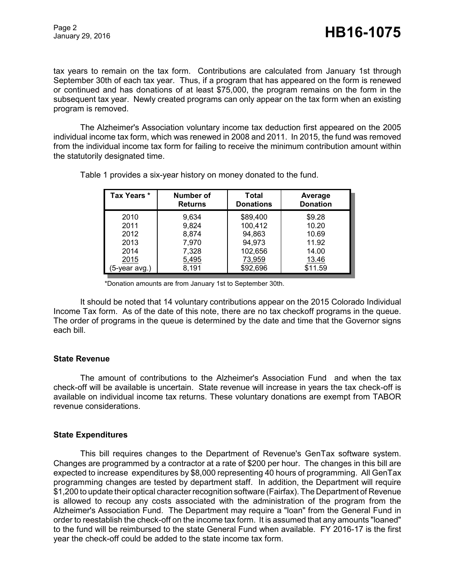tax years to remain on the tax form. Contributions are calculated from January 1st through September 30th of each tax year. Thus, if a program that has appeared on the form is renewed or continued and has donations of at least \$75,000, the program remains on the form in the subsequent tax year. Newly created programs can only appear on the tax form when an existing program is removed.

The Alzheimer's Association voluntary income tax deduction first appeared on the 2005 individual income tax form, which was renewed in 2008 and 2011. In 2015, the fund was removed from the individual income tax form for failing to receive the minimum contribution amount within the statutorily designated time.

| Tax Years *  | Number of<br><b>Returns</b> | Total<br><b>Donations</b> | Average<br><b>Donation</b> |
|--------------|-----------------------------|---------------------------|----------------------------|
| 2010         | 9,634                       | \$89,400                  | \$9.28                     |
| 2011         | 9,824                       | 100,412                   | 10.20                      |
| 2012         | 8,874                       | 94,863                    | 10.69                      |
| 2013         | 7,970                       | 94,973                    | 11.92                      |
| 2014         | 7,328                       | 102,656                   | 14.00                      |
| 2015         | 5,495                       | 73,959                    | 13.46                      |
| 5-year avg.) | 8,191                       | \$92,696                  | \$11.59                    |

Table 1 provides a six-year history on money donated to the fund.

\*Donation amounts are from January 1st to September 30th.

It should be noted that 14 voluntary contributions appear on the 2015 Colorado Individual Income Tax form. As of the date of this note, there are no tax checkoff programs in the queue. The order of programs in the queue is determined by the date and time that the Governor signs each bill.

#### **State Revenue**

The amount of contributions to the Alzheimer's Association Fund and when the tax check-off will be available is uncertain. State revenue will increase in years the tax check-off is available on individual income tax returns. These voluntary donations are exempt from TABOR revenue considerations.

#### **State Expenditures**

This bill requires changes to the Department of Revenue's GenTax software system. Changes are programmed by a contractor at a rate of \$200 per hour. The changes in this bill are expected to increase expenditures by \$8,000 representing 40 hours of programming. All GenTax programming changes are tested by department staff. In addition, the Department will require \$1,200 to update their optical character recognition software (Fairfax). The Department of Revenue is allowed to recoup any costs associated with the administration of the program from the Alzheimer's Association Fund. The Department may require a "loan" from the General Fund in order to reestablish the check-off on the income tax form. It is assumed that any amounts "loaned" to the fund will be reimbursed to the state General Fund when available. FY 2016-17 is the first year the check-off could be added to the state income tax form.